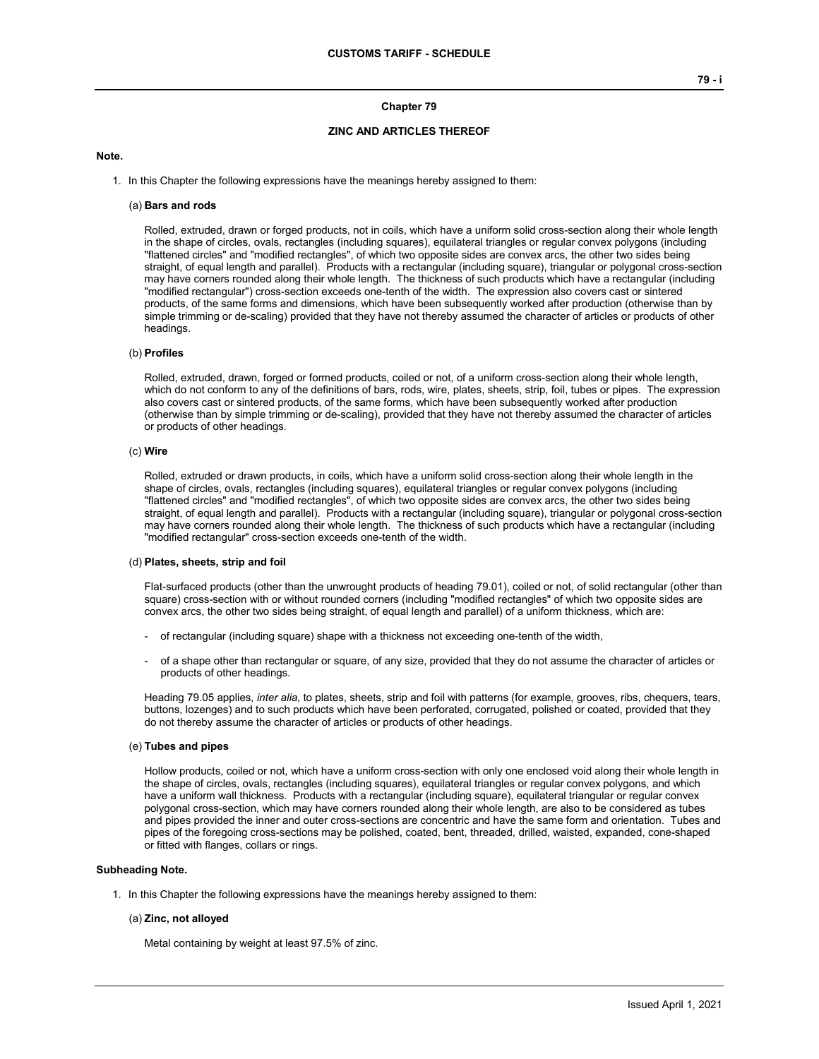# **Chapter 79**

# **ZINC AND ARTICLES THEREOF**

#### **Note.**

1. In this Chapter the following expressions have the meanings hereby assigned to them:

#### (a) **Bars and rods**

Rolled, extruded, drawn or forged products, not in coils, which have a uniform solid cross-section along their whole length in the shape of circles, ovals, rectangles (including squares), equilateral triangles or regular convex polygons (including "flattened circles" and "modified rectangles", of which two opposite sides are convex arcs, the other two sides being straight, of equal length and parallel). Products with a rectangular (including square), triangular or polygonal cross-section may have corners rounded along their whole length. The thickness of such products which have a rectangular (including "modified rectangular") cross-section exceeds one-tenth of the width. The expression also covers cast or sintered products, of the same forms and dimensions, which have been subsequently worked after production (otherwise than by simple trimming or de-scaling) provided that they have not thereby assumed the character of articles or products of other headings.

# (b) **Profiles**

Rolled, extruded, drawn, forged or formed products, coiled or not, of a uniform cross-section along their whole length, which do not conform to any of the definitions of bars, rods, wire, plates, sheets, strip, foil, tubes or pipes. The expression also covers cast or sintered products, of the same forms, which have been subsequently worked after production (otherwise than by simple trimming or de-scaling), provided that they have not thereby assumed the character of articles or products of other headings.

#### (c) **Wire**

Rolled, extruded or drawn products, in coils, which have a uniform solid cross-section along their whole length in the shape of circles, ovals, rectangles (including squares), equilateral triangles or regular convex polygons (including "flattened circles" and "modified rectangles", of which two opposite sides are convex arcs, the other two sides being straight, of equal length and parallel). Products with a rectangular (including square), triangular or polygonal cross-section may have corners rounded along their whole length. The thickness of such products which have a rectangular (including "modified rectangular" cross-section exceeds one-tenth of the width.

#### (d) **Plates, sheets, strip and foil**

Flat-surfaced products (other than the unwrought products of heading 79.01), coiled or not, of solid rectangular (other than square) cross-section with or without rounded corners (including "modified rectangles" of which two opposite sides are convex arcs, the other two sides being straight, of equal length and parallel) of a uniform thickness, which are:

- of rectangular (including square) shape with a thickness not exceeding one-tenth of the width,
- of a shape other than rectangular or square, of any size, provided that they do not assume the character of articles or products of other headings.

Heading 79.05 applies, *inter alia*, to plates, sheets, strip and foil with patterns (for example, grooves, ribs, chequers, tears, buttons, lozenges) and to such products which have been perforated, corrugated, polished or coated, provided that they do not thereby assume the character of articles or products of other headings.

#### (e) **Tubes and pipes**

Hollow products, coiled or not, which have a uniform cross-section with only one enclosed void along their whole length in the shape of circles, ovals, rectangles (including squares), equilateral triangles or regular convex polygons, and which have a uniform wall thickness. Products with a rectangular (including square), equilateral triangular or regular convex polygonal cross-section, which may have corners rounded along their whole length, are also to be considered as tubes and pipes provided the inner and outer cross-sections are concentric and have the same form and orientation. Tubes and pipes of the foregoing cross-sections may be polished, coated, bent, threaded, drilled, waisted, expanded, cone-shaped or fitted with flanges, collars or rings.

# **Subheading Note.**

1. In this Chapter the following expressions have the meanings hereby assigned to them:

# (a) **Zinc, not alloyed**

Metal containing by weight at least 97.5% of zinc.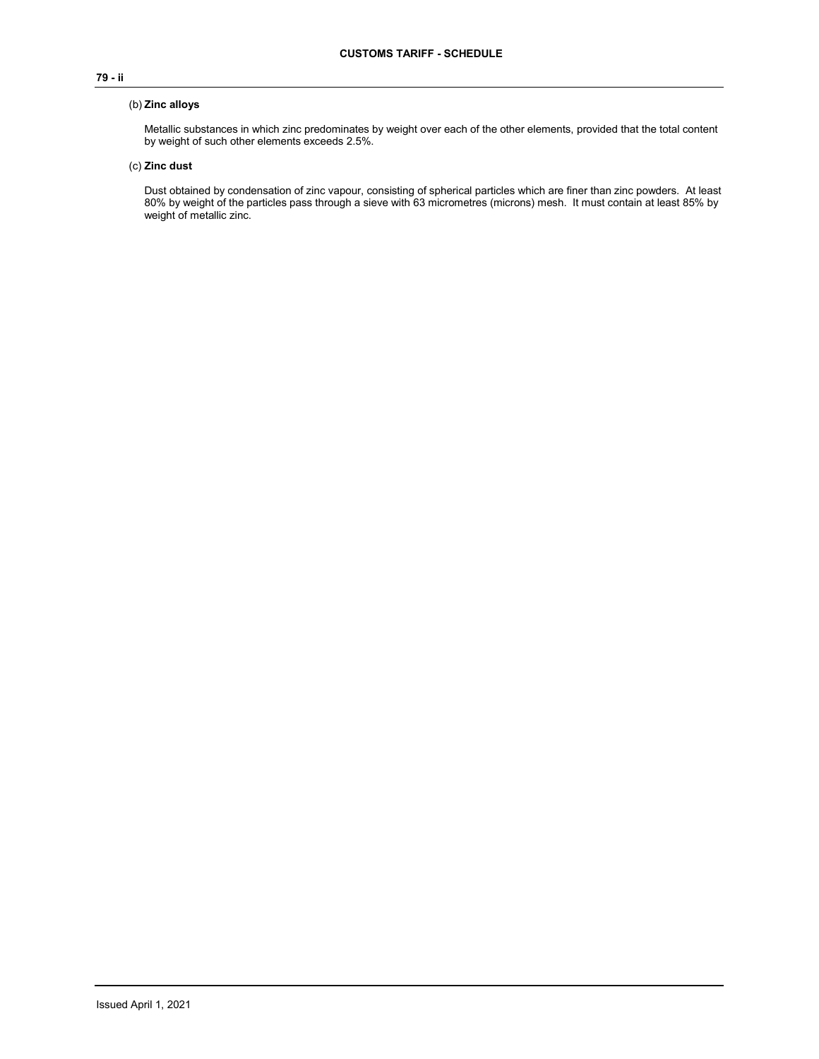# **79 - ii**

# (b) **Zinc alloys**

Metallic substances in which zinc predominates by weight over each of the other elements, provided that the total content by weight of such other elements exceeds 2.5%.

# (c) **Zinc dust**

Dust obtained by condensation of zinc vapour, consisting of spherical particles which are finer than zinc powders. At least 80% by weight of the particles pass through a sieve with 63 micrometres (microns) mesh. It must contain at least 85% by weight of metallic zinc.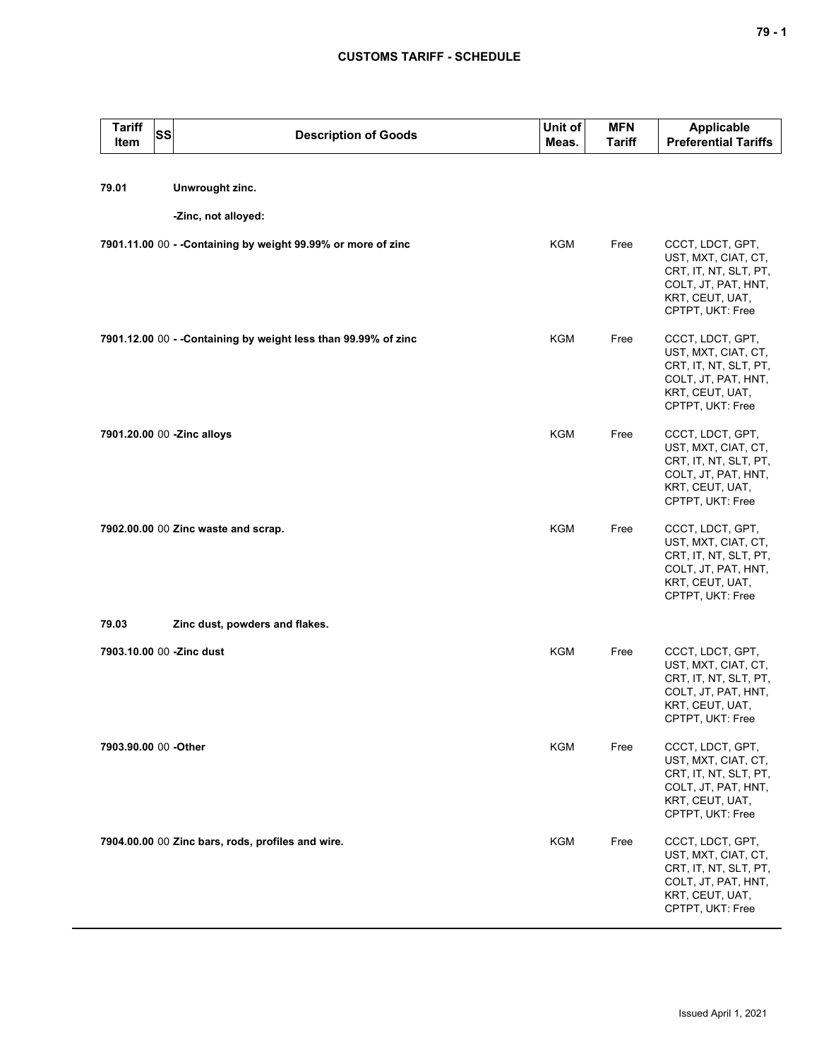| <b>Tariff</b><br>Item      | <b>SS</b> | <b>Description of Goods</b>                                     | Unit of<br>Meas. | <b>MFN</b><br><b>Tariff</b> | Applicable<br><b>Preferential Tariffs</b>                                                                                      |
|----------------------------|-----------|-----------------------------------------------------------------|------------------|-----------------------------|--------------------------------------------------------------------------------------------------------------------------------|
| 79.01                      |           | Unwrought zinc.                                                 |                  |                             |                                                                                                                                |
|                            |           | -Zinc, not alloyed:                                             |                  |                             |                                                                                                                                |
|                            |           | 7901.11.00 00 - - Containing by weight 99.99% or more of zinc   | <b>KGM</b>       | Free                        | CCCT, LDCT, GPT,<br>UST, MXT, CIAT, CT,<br>CRT, IT, NT, SLT, PT,<br>COLT, JT, PAT, HNT,<br>KRT, CEUT, UAT,<br>CPTPT, UKT: Free |
|                            |           | 7901.12.00 00 - - Containing by weight less than 99.99% of zinc | <b>KGM</b>       | Free                        | CCCT, LDCT, GPT,<br>UST, MXT, CIAT, CT,<br>CRT, IT, NT, SLT, PT,<br>COLT, JT, PAT, HNT,<br>KRT, CEUT, UAT,<br>CPTPT, UKT: Free |
| 7901.20.00 00 -Zinc alloys |           |                                                                 | <b>KGM</b>       | Free                        | CCCT, LDCT, GPT,<br>UST, MXT, CIAT, CT,<br>CRT, IT, NT, SLT, PT,<br>COLT, JT, PAT, HNT,<br>KRT, CEUT, UAT,<br>CPTPT, UKT: Free |
|                            |           | 7902.00.00 00 Zinc waste and scrap.                             | <b>KGM</b>       | Free                        | CCCT, LDCT, GPT,<br>UST, MXT, CIAT, CT,<br>CRT, IT, NT, SLT, PT,<br>COLT, JT, PAT, HNT,<br>KRT, CEUT, UAT,<br>CPTPT, UKT: Free |
| 79.03                      |           | Zinc dust, powders and flakes.                                  |                  |                             |                                                                                                                                |
| 7903.10.00 00 -Zinc dust   |           |                                                                 | <b>KGM</b>       | Free                        | CCCT, LDCT, GPT,<br>UST, MXT, CIAT, CT,<br>CRT, IT, NT, SLT, PT,<br>COLT, JT, PAT, HNT,<br>KRT, CEUT, UAT,<br>CPTPT, UKT: Free |
| 7903.90.00 00 - Other      |           |                                                                 | KGM              | Free                        | CCCT, LDCT, GPT,<br>UST, MXT, CIAT, CT,<br>CRT, IT, NT, SLT, PT,<br>COLT, JT, PAT, HNT,<br>KRT, CEUT, UAT,<br>CPTPT, UKT: Free |
|                            |           | 7904.00.00 00 Zinc bars, rods, profiles and wire.               | <b>KGM</b>       | Free                        | CCCT, LDCT, GPT,<br>UST, MXT, CIAT, CT,<br>CRT, IT, NT, SLT, PT,<br>COLT, JT, PAT, HNT,<br>KRT, CEUT, UAT,<br>CPTPT, UKT: Free |